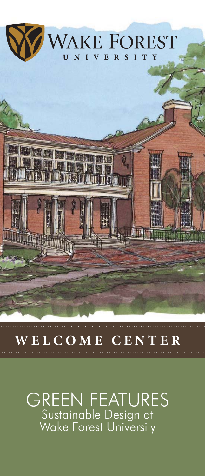

# **WELCOME CENTER**

## GREEN FEATURES Sustainable Design at Wake Forest University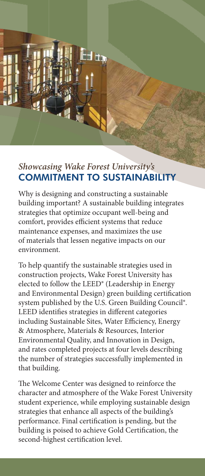### *Showcasing Wake Forest University's*  COMMITMENT TO SUSTAINABILITY

┧╁╻

Why is designing and constructing a sustainable building important? A sustainable building integrates strategies that optimize occupant well-being and comfort, provides efficient systems that reduce maintenance expenses, and maximizes the use of materials that lessen negative impacts on our environment.

To help quantify the sustainable strategies used in construction projects, Wake Forest University has elected to follow the LEED® (Leadership in Energy and Environmental Design) green building certification system published by the U.S. Green Building Council®. LEED identifies strategies in different categories including Sustainable Sites, Water Efficiency, Energy & Atmosphere, Materials & Resources, Interior Environmental Quality, and Innovation in Design, and rates completed projects at four levels describing the number of strategies successfully implemented in that building.

The Welcome Center was designed to reinforce the character and atmosphere of the Wake Forest University student experience, while employing sustainable design strategies that enhance all aspects of the building's performance. Final certification is pending, but the building is poised to achieve Gold Certification, the second-highest certification level.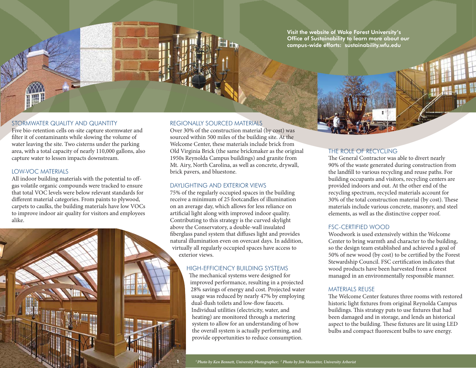Visit the website of Wake Forest University's Office of Sustainability to learn more about our campus-wide efforts: sustainability.wfu.edu

#### STORMWATER QUALITY AND QUANTITY

Five bio-retention cells on-site capture stormwater and filter it of contaminants while slowing the volume of water leaving the site. Two cisterns under the parking area, with a total capacity of nearly 110,000 gallons, also capture water to lessen impacts downstream.

#### LOW-VOC MATERIALS

All indoor building materials with the potential to offgas volatile organic compounds were tracked to ensure that total VOC levels were below relevant standards for different material categories. From paints to plywood, carpets to caulks, the building materials have low VOCs to improve indoor air quality for visitors and employees alike.



Over 30% of the construction material (by cost) was sourced within 500 miles of the building site. At the Welcome Center, these materials include brick from Old Virginia Brick (the same brickmaker as the original 1950s Reynolda Campus buildings) and granite from Mt. Airy, North Carolina, as well as concrete, drywall, brick pavers, and bluestone.

#### DAYLIGHTING AND EXTERIOR VIEWS

75% of the regularly occupied spaces in the building receive a minimum of 25 footcandles of illumination on an average day, which allows for less reliance on artificial light along with improved indoor quality. Contributing to this strategy is the curved skylight above the Conservatory, a double-wall insulated fiberglass panel system that diffuses light and provides natural illumination even on overcast days. In addition, virtually all regularly occupied spaces have access to exterior views.

#### HIGH-EFFICIENCY BUILDING SYSTEMS

The mechanical systems were designed for improved performance, resulting in a projected 28% savings of energy and cost. Projected water usage was reduced by nearly 47% by employing dual-flush toilets and low-flow faucets. Individual utilities (electricity, water, and heating) are monitored through a metering system to allow for an understanding of how the overall system is actually performing, and provide opportunities to reduce consumption.

#### THE ROLE OF RECYCLING

The General Contractor was able to divert nearly 90% of the waste generated during construction from the landfill to various recycling and reuse paths. For building occupants and visitors, recycling centers are provided indoors and out. At the other end of the recycling spectrum, recycled materials account for 30% of the total construction material (by cost). These materials include various concrete, masonry, and steel elements, as well as the distinctive copper roof.

#### FSC-CERTIFIED WOOD

Woodwork is used extensively within the Welcome Center to bring warmth and character to the building, so the design team established and achieved a goal of 50% of new wood (by cost) to be certified by the Forest Stewardship Council. FSC certification indicates that wood products have been harvested from a forest managed in an environmentally responsible manner.

#### MATERIALS REUSE

The Welcome Center features three rooms with restored historic light fixtures from original Reynolda Campus buildings. This strategy puts to use fixtures that had been damaged and in storage, and lends an historical aspect to the building. These fixtures are lit using LED bulbs and compact fluorescent bulbs to save energy.